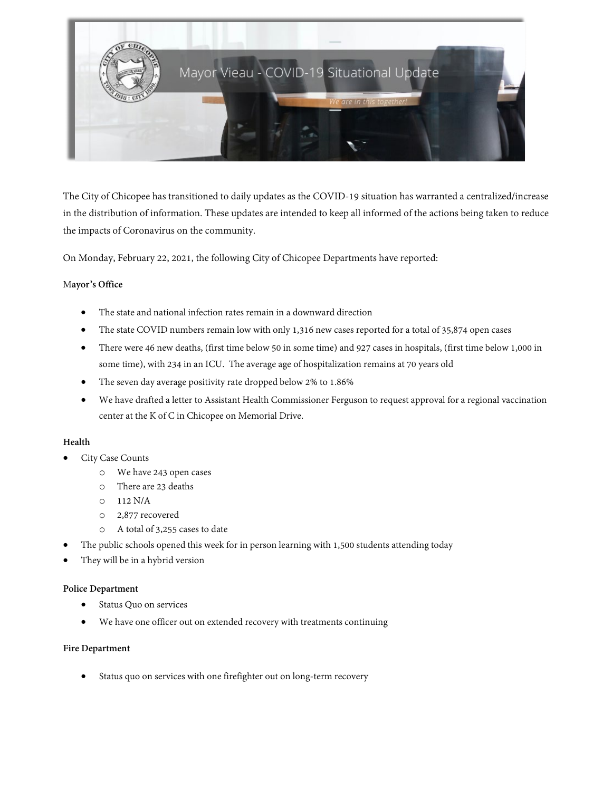

The City of Chicopee has transitioned to daily updates as the COVID-19 situation has warranted a centralized/increase in the distribution of information. These updates are intended to keep all informed of the actions being taken to reduce the impacts of Coronavirus on the community.

On Monday, February 22, 2021, the following City of Chicopee Departments have reported:

#### M**ayor's Office**

- The state and national infection rates remain in a downward direction
- The state COVID numbers remain low with only 1,316 new cases reported for a total of 35,874 open cases
- There were 46 new deaths, (first time below 50 in some time) and 927 cases in hospitals, (first time below 1,000 in some time), with 234 in an ICU. The average age of hospitalization remains at 70 years old
- The seven day average positivity rate dropped below 2% to 1.86%
- We have drafted a letter to Assistant Health Commissioner Ferguson to request approval for a regional vaccination center at the K of C in Chicopee on Memorial Drive.

# **Health**

- City Case Counts
	- o We have 243 open cases
	- o There are 23 deaths
	- o 112 N/A
	- o 2,877 recovered
	- o A total of 3,255 cases to date
- The public schools opened this week for in person learning with 1,500 students attending today
- They will be in a hybrid version

#### **Police Department**

- Status Quo on services
- We have one officer out on extended recovery with treatments continuing

#### **Fire Department**

Status quo on services with one firefighter out on long-term recovery